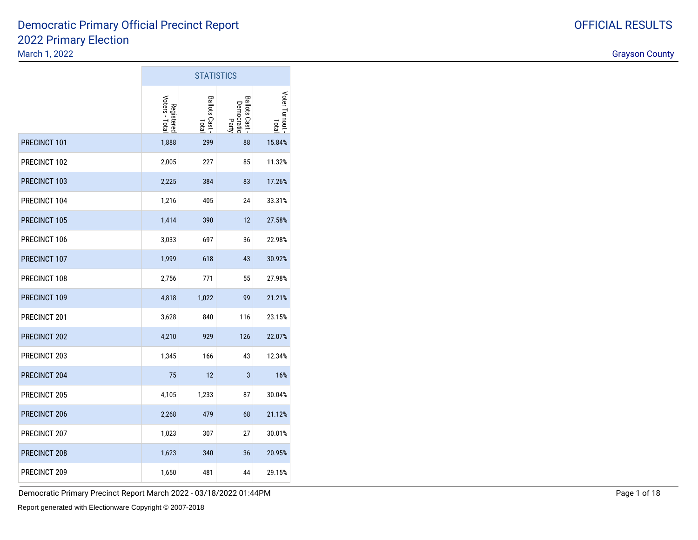#### 2022 Primary ElectionMarch 1, 2022discussion of the contract of the contract of the contract of the contract of the contract of the contract of the contract of the contract of the contract of the contract of the contract of the contract of the contract of Democratic Primary Official Precinct Report

 $\sim$ 

|              | <b>STATISTICS</b>            |                         |                                            |                        |  |  |  |  |  |
|--------------|------------------------------|-------------------------|--------------------------------------------|------------------------|--|--|--|--|--|
|              | Registered<br>Voters - Total | Ballots Cast -<br>Total | <b>Ballots Cast</b><br>Democratic<br>Party | Voter Turnout<br>Total |  |  |  |  |  |
| PRECINCT 101 | 1,888                        | 299                     | 88                                         | 15.84%                 |  |  |  |  |  |
| PRECINCT 102 | 2,005                        | 227                     | 85                                         | 11.32%                 |  |  |  |  |  |
| PRECINCT 103 | 2,225                        | 384                     | 83                                         | 17.26%                 |  |  |  |  |  |
| PRECINCT 104 | 1,216                        | 405                     | 24                                         | 33.31%                 |  |  |  |  |  |
| PRECINCT 105 | 1,414                        | 390                     | 12                                         | 27.58%                 |  |  |  |  |  |
| PRECINCT 106 | 3,033                        | 697                     | 36                                         | 22.98%                 |  |  |  |  |  |
| PRECINCT 107 | 1,999                        | 618                     | 43                                         | 30.92%                 |  |  |  |  |  |
| PRECINCT 108 | 2,756                        | 771                     | 55                                         | 27.98%                 |  |  |  |  |  |
| PRECINCT 109 | 4,818                        | 1,022                   | 99                                         | 21.21%                 |  |  |  |  |  |
| PRECINCT 201 | 3,628                        | 840                     | 116                                        | 23.15%                 |  |  |  |  |  |
| PRECINCT 202 | 4,210                        | 929                     | 126                                        | 22.07%                 |  |  |  |  |  |
| PRECINCT 203 | 1,345                        | 166                     | 43                                         | 12.34%                 |  |  |  |  |  |
| PRECINCT 204 | 75                           | 12                      | 3                                          | 16%                    |  |  |  |  |  |
| PRECINCT 205 | 4,105                        | 1,233                   | 87                                         | 30.04%                 |  |  |  |  |  |
| PRECINCT 206 | 2,268                        | 479                     | 68                                         | 21.12%                 |  |  |  |  |  |
| PRECINCT 207 | 1,023                        | 307                     | 27                                         | 30.01%                 |  |  |  |  |  |
| PRECINCT 208 | 1,623                        | 340                     | 36                                         | 20.95%                 |  |  |  |  |  |
| PRECINCT 209 | 1,650                        | 481                     | 44                                         | 29.15%                 |  |  |  |  |  |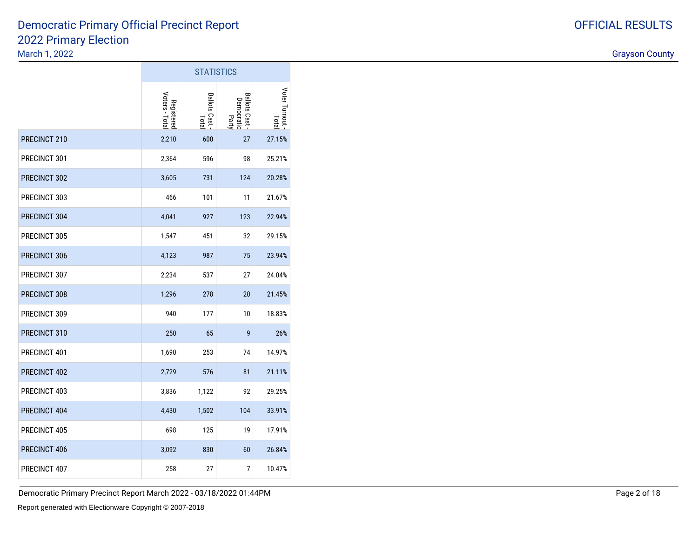#### 2022 Primary ElectionMarch 1, 2022discussion of the contract of the contract of the contract of the contract of the contract of the contract of the contract of the contract of the contract of the contract of the contract of the contract of the contract of Democratic Primary Official Precinct Report

|              |                              | <b>STATISTICS</b>       |                                            |                        |
|--------------|------------------------------|-------------------------|--------------------------------------------|------------------------|
|              | Voters - Total<br>Registered | Ballots Cast -<br>Total | <b>Ballots Cast</b><br>Democratic<br>Party | Voter Turnout<br>Lotal |
| PRECINCT 210 | 2,210                        | 600                     | 27                                         | 27.15%                 |
| PRECINCT 301 | 2,364                        | 596                     | 98                                         | 25.21%                 |
| PRECINCT 302 | 3,605                        | 731                     | 124                                        | 20.28%                 |
| PRECINCT 303 | 466                          | 101                     | 11                                         | 21.67%                 |
| PRECINCT 304 | 4,041                        | 927                     | 123                                        | 22.94%                 |
| PRECINCT 305 | 1,547                        | 451                     | 32                                         | 29.15%                 |
| PRECINCT 306 | 4,123                        | 987                     | 75                                         | 23.94%                 |
| PRECINCT 307 | 2,234                        | 537                     | 27                                         | 24.04%                 |
| PRECINCT 308 | 1,296                        | 278                     | 20                                         | 21.45%                 |
| PRECINCT 309 | 940                          | 177                     | 10                                         | 18.83%                 |
| PRECINCT 310 | 250                          | 65                      | 9                                          | 26%                    |
| PRECINCT 401 | 1,690                        | 253                     | 74                                         | 14.97%                 |
| PRECINCT 402 | 2,729                        | 576                     | 81                                         | 21.11%                 |
| PRECINCT 403 | 3,836                        | 1,122                   | 92                                         | 29.25%                 |
| PRECINCT 404 | 4,430                        | 1,502                   | 104                                        | 33.91%                 |
| PRECINCT 405 | 698                          | 125                     | 19                                         | 17.91%                 |
| PRECINCT 406 | 3,092                        | 830                     | 60                                         | 26.84%                 |
| PRECINCT 407 | 258                          | 27                      | 7                                          | 10.47%                 |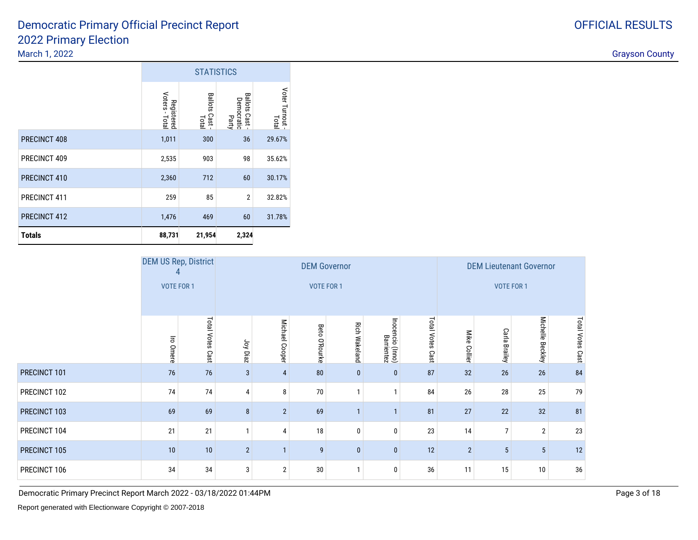### 2022 Primary Electiondiscussion of the contract of the contract of the contract of the contract of the contract of the contract of the contract of the contract of the contract of the contract of the contract of the contract of the contract of Democratic Primary Official Precinct Report

|               |                              | <b>STATISTICS</b>                |                                                        |                        |
|---------------|------------------------------|----------------------------------|--------------------------------------------------------|------------------------|
|               | Registered<br>Voters - Total | <b>Ballots</b><br>Cast.<br>Total | <b>Ballots</b><br>allots Cast -<br>Democratic<br>Party | Voter Turnout<br>Total |
| PRECINCT 408  | 1,011                        | 300                              | 36                                                     | 29.67%                 |
| PRECINCT 409  | 2,535                        | 903                              | 98                                                     | 35.62%                 |
| PRECINCT 410  | 2,360                        | 712                              | 60                                                     | 30.17%                 |
| PRECINCT 411  | 259                          | 85                               | $\overline{2}$                                         | 32.82%                 |
| PRECINCT 412  | 1,476                        | 469                              | 60                                                     | 31.78%                 |
| <b>Totals</b> | 88,731                       | 21,954                           | 2,324                                                  |                        |

|              | <b>DEM US Rep, District</b> |                     |                |                | <b>DEM Governor</b> |                      |                                |                         | <b>DEM Lieutenant Governor</b> |                |                            |                  |  |
|--------------|-----------------------------|---------------------|----------------|----------------|---------------------|----------------------|--------------------------------|-------------------------|--------------------------------|----------------|----------------------------|------------------|--|
|              | <b>VOTE FOR 1</b>           |                     |                |                | VOTE FOR 1          |                      |                                |                         |                                |                | <b>VOTE FOR 1</b>          |                  |  |
|              | Iro Omere                   | Total Votes<br>Cast | Joy Diaz       | Michael Cooper | Beto<br>O'Rourke    | <b>Rich Wakeland</b> | Inocencio (Inno)<br>Barrientez | <b>Total Votes Cast</b> | Mike<br><b>Collier</b>         | Carla Brailey  | <b>Michelle</b><br>Beckley | Total Votes Cast |  |
| PRECINCT 101 | 76                          | 76                  | 3              | $\overline{4}$ | 80                  | $\bf{0}$             | $\mathbf{0}$                   | 87                      | 32                             | 26             | 26                         | 84               |  |
| PRECINCT 102 | 74                          | 74                  | 4              | 8              | 70                  | $\mathbf{1}$         |                                | 84                      | 26                             | 28             | 25                         | 79               |  |
| PRECINCT 103 | 69                          | 69                  | 8              | $\overline{2}$ | 69                  | $\mathbf{1}$         |                                | 81                      | 27                             | 22             | 32                         | 81               |  |
| PRECINCT 104 | 21                          | 21                  |                | $\overline{4}$ | 18                  | $\mathbf{0}$         | 0                              | 23                      | 14                             | $\overline{7}$ | $\overline{2}$             | 23               |  |
| PRECINCT 105 | 10                          | 10                  | $\overline{2}$ |                | 9                   | $\mathbf{0}$         | $\bf{0}$                       | 12                      | $\overline{2}$                 | 5              | $5\phantom{.0}$            | 12               |  |
| PRECINCT 106 | 34                          | 34                  | 3              | $\overline{2}$ | 30                  | $\mathbf{1}$         | 0                              | 36                      | 11                             | 15             | 10                         | 36               |  |

Democratic Primary Precinct Report March 2022 - 03/18/2022 01:44PM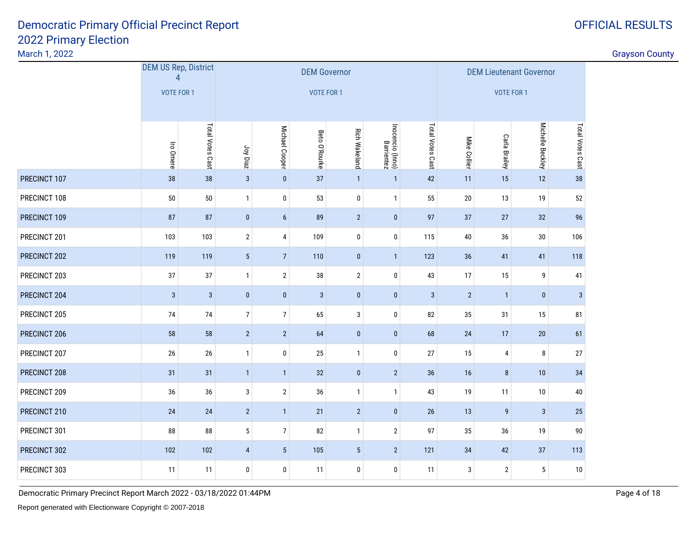| March 1, 2022 |                                               |                  |                 |                                                                                                                           |                     |                 |                |              |                |                                      |                                |                  | <b>Grayson County</b> |
|---------------|-----------------------------------------------|------------------|-----------------|---------------------------------------------------------------------------------------------------------------------------|---------------------|-----------------|----------------|--------------|----------------|--------------------------------------|--------------------------------|------------------|-----------------------|
|               | <b>DEM US Rep, District</b><br>$\overline{4}$ |                  |                 |                                                                                                                           | <b>DEM Governor</b> |                 |                |              |                |                                      | <b>DEM Lieutenant Governor</b> |                  |                       |
|               | VOTE FOR 1                                    |                  |                 |                                                                                                                           | VOTE FOR 1          |                 |                |              |                | <b>VOTE FOR 1</b>                    |                                |                  |                       |
|               | Iro Omere                                     | Total Votes Cast |                 | Total Votes Cast<br>Inocencio (Inno)<br>Barrientez<br>Michael Cooper<br><b>Rich Wakeland</b><br>Beto O'Rourke<br>Joy Diaz |                     |                 |                |              |                | <b>Carla Brailey</b><br>Mike Collier | Michelle Beckley               | Total Votes Cast |                       |
| PRECINCT 107  | 38                                            | 38               | $\mathbf{3}$    | $\pmb{0}$                                                                                                                 | 37                  | $\mathbf{1}$    | $\mathbf{1}$   | 42           | 11             | 15                                   | 12                             | 38               |                       |
| PRECINCT 108  | 50                                            | 50               | $\mathbf{1}$    | $\mathbf 0$                                                                                                               | 53                  | $\mathbf 0$     | $\mathbf{1}$   | 55           | 20             | 13                                   | 19                             | 52               |                       |
| PRECINCT 109  | 87                                            | 87               | $\bf{0}$        | $\boldsymbol{6}$                                                                                                          | 89                  | $\overline{2}$  | $\pmb{0}$      | 97           | 37             | $27\,$                               | 32                             | 96               |                       |
| PRECINCT 201  | 103                                           | 103              | $\overline{2}$  | $\overline{4}$                                                                                                            | 109                 | $\mathbf 0$     | $\bf{0}$       | 115          | 40             | 36                                   | $30\,$                         | 106              |                       |
| PRECINCT 202  | 119                                           | 119              | $5\phantom{.0}$ | $\overline{7}$                                                                                                            | 110                 | $\pmb{0}$       | $\overline{1}$ | 123          | 36             | 41                                   | 41                             | 118              |                       |
| PRECINCT 203  | 37                                            | $37\,$           | $\mathbf{1}$    | $\overline{2}$                                                                                                            | $38\,$              | $\mathbf{2}$    | $\pmb{0}$      | 43           | 17             | 15                                   | 9                              | 41               |                       |
| PRECINCT 204  | $\mathbf{3}$                                  | $\mathbf{3}$     | $\bf{0}$        | $\bf{0}$                                                                                                                  | $\mathbf{3}$        | $\mathbf{0}$    | $\mathbf{0}$   | $\mathbf{3}$ | $\overline{2}$ | $\overline{1}$                       | $\bf{0}$                       | $\mathbf{3}$     |                       |
| PRECINCT 205  | $74$                                          | 74               | $\overline{7}$  | $7\vert$                                                                                                                  | 65                  | 3               | $\pmb{0}$      | 82           | 35             | 31                                   | 15                             | 81               |                       |
| PRECINCT 206  | 58                                            | 58               | $\overline{2}$  | $\overline{2}$                                                                                                            | 64                  | $\mathbf{0}$    | $\mathbf{0}$   | 68           | 24             | 17                                   | $20\,$                         | 61               |                       |
| PRECINCT 207  | 26                                            | 26               | $\overline{1}$  | $\bm{0}$                                                                                                                  | $25\,$              | $\mathbf{1}$    | $\bf{0}$       | 27           | 15             | 4                                    | 8                              | 27               |                       |
| PRECINCT 208  | 31                                            | 31               | $\overline{1}$  | $\overline{1}$                                                                                                            | $32\,$              | $\mathbf{0}$    | $\sqrt{2}$     | 36           | 16             | 8                                    | 10                             | 34               |                       |
| PRECINCT 209  | 36                                            | 36               | $\mathbf{3}$    | $\overline{2}$                                                                                                            | 36                  | $\mathbf{1}$    | $\mathbf{1}$   | 43           | 19             | 11                                   | 10                             | $40\,$           |                       |
| PRECINCT 210  | 24                                            | 24               | $\overline{2}$  | $\overline{1}$                                                                                                            | 21                  | $2^{\circ}$     | $\mathbf{0}$   | 26           | 13             | $\boldsymbol{9}$                     | $\mathbf{3}$                   | 25               |                       |
| PRECINCT 301  | 88                                            | ${\bf 88}$       | $5\phantom{.0}$ | $\overline{7}$                                                                                                            | 82                  | $\mathbf{1}$    | $\overline{2}$ | 97           | 35             | $36\,$                               | 19                             | $90\,$           |                       |
| PRECINCT 302  | 102                                           | 102              | $\overline{4}$  | $5\phantom{.0}$                                                                                                           | 105                 | $5\phantom{.0}$ | $\overline{2}$ | 121          | 34             | 42                                   | 37                             | 113              |                       |
| PRECINCT 303  | 11                                            | 11               | 0               | $\bm{0}$                                                                                                                  | 11                  | $\mathbf 0$     | $\bf{0}$       | 11           | 3              | $\mathbf{2}$                         | 5                              | 10               |                       |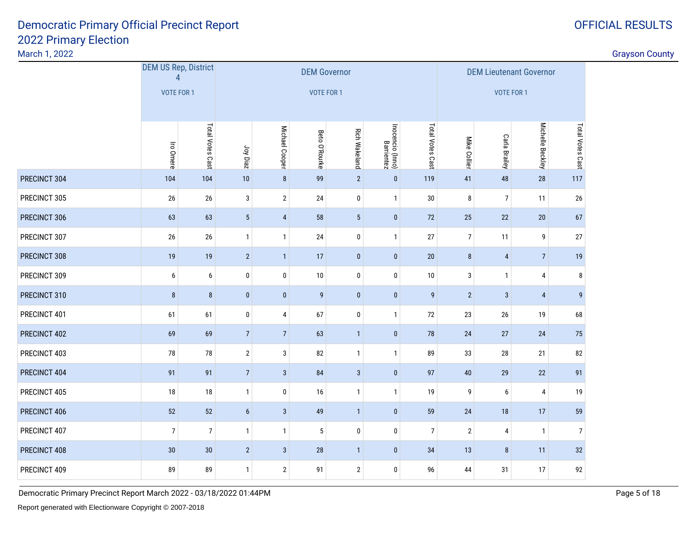March 1, 2022

discussion of the contract of the contract of the contract of the contract of the contract of the contract of the contract of the contract of the contract of the contract of the contract of the contract of the contract of

|              | <b>DEM US Rep, District</b><br>$\overline{4}$ |                  |                |                | <b>DEM Governor</b> |                      | <b>DEM Lieutenant Governor</b> |                  |                |                  |                  |                  |
|--------------|-----------------------------------------------|------------------|----------------|----------------|---------------------|----------------------|--------------------------------|------------------|----------------|------------------|------------------|------------------|
|              | <b>VOTE FOR 1</b>                             |                  |                |                | <b>VOTE FOR 1</b>   |                      |                                |                  |                | VOTE FOR 1       |                  |                  |
|              | Iro Omere                                     | Total Votes Cast | Joy Diaz       | Michael Cooper | Beto O'Rourke       | <b>Rich Wakeland</b> | Inocencio (Inno)<br>Barrientez | Total Votes Cast | Mike Collier   | Carla Brailey    | Michelle Beckley | Total Votes Cast |
| PRECINCT 304 | 104                                           | 104              | $10$           | $\, 8$         | 99                  | $\overline{2}$       | $\mathbf 0$                    | 119              | 41             | 48               | $28\,$           | 117              |
| PRECINCT 305 | 26                                            | $26\,$           | $\mathbf{3}$   | $\overline{2}$ | 24                  | $\pmb{0}$            | $\mathbf{1}$                   | 30               | 8              | $\overline{7}$   | 11               | 26               |
| PRECINCT 306 | 63                                            | 63               | $\sqrt{5}$     | $\overline{4}$ | 58                  | $5\phantom{.0}$      | $\pmb{0}$                      | $72\,$           | 25             | 22               | 20               | 67               |
| PRECINCT 307 | 26                                            | $26\,$           | $\mathbf{1}$   | $\overline{1}$ | 24                  | $\pmb{0}$            | $\mathbf{1}$                   | $27\,$           | $\overline{7}$ | 11               | 9                | 27               |
| PRECINCT 308 | 19                                            | $19$             | $\sqrt{2}$     | $\overline{1}$ | 17                  | $\pmb{0}$            | $\pmb{0}$                      | $20\,$           | $\bf 8$        | $\overline{4}$   | $\overline{7}$   | 19               |
| PRECINCT 309 | 6                                             | 6                | $\pmb{0}$      | $\bf{0}$       | 10                  | $\pmb{0}$            | $\pmb{0}$                      | 10               | 3              | $\mathbf{1}$     | $\pmb{4}$        | 8                |
| PRECINCT 310 | $\bf 8$                                       | $\bf 8$          | $\pmb{0}$      | $\pmb{0}$      | $\boldsymbol{9}$    | $\pmb{0}$            | $\pmb{0}$                      | 9                | $\overline{2}$ | $\overline{3}$   | $\overline{4}$   | 9                |
| PRECINCT 401 | 61                                            | 61               | $\pmb{0}$      | 4              | 67                  | $\pmb{0}$            | $\mathbf{1}$                   | $72\,$           | 23             | $26\,$           | 19               | 68               |
| PRECINCT 402 | 69                                            | 69               | $\sqrt{ }$     | $\sqrt{7}$     | 63                  | $\mathbf{1}$         | $\pmb{0}$                      | $78\,$           | 24             | 27               | $24$             | 75               |
| PRECINCT 403 | 78                                            | 78               | $\sqrt{2}$     | 3              | 82                  | $\mathbf{1}$         | $\mathbf{1}$                   | 89               | 33             | 28               | 21               | 82               |
| PRECINCT 404 | 91                                            | 91               | $\sqrt{ }$     | $\mathbf{3}$   | 84                  | $\mathbf{3}$         | $\pmb{0}$                      | 97               | $40\,$         | 29               | $22\,$           | 91               |
| PRECINCT 405 | 18                                            | $18\,$           | $\mathbf{1}$   | $\bf{0}$       | 16                  | $\mathbf{1}$         | $\mathbf{1}$                   | 19               | 9              | $\boldsymbol{6}$ | $\pmb{4}$        | 19               |
| PRECINCT 406 | 52                                            | 52               | $6\phantom{a}$ | $\mathbf{3}$   | 49                  | $\mathbf{1}$         | $\pmb{0}$                      | 59               | 24             | 18               | 17               | 59               |
| PRECINCT 407 | $\overline{7}$                                | $\overline{7}$   | $\mathbf{1}$   | $\overline{1}$ | $\sqrt{5}$          | $\pmb{0}$            | $\bf{0}$                       | $\overline{7}$   | $\overline{2}$ | $\overline{4}$   | $\mathbf{1}$     | $\overline{7}$   |
| PRECINCT 408 | 30                                            | 30               | $\sqrt{2}$     | $\mathbf{3}$   | 28                  | $\mathbf{1}$         | $\pmb{0}$                      | 34               | 13             | $\bf 8$          | 11               | 32               |
| PRECINCT 409 | 89                                            | 89               | $\mathbf{1}$   | $\overline{2}$ | 91                  | $\mathbf{2}$         | $\bf{0}$                       | 96               | 44             | 31               | 17               | 92               |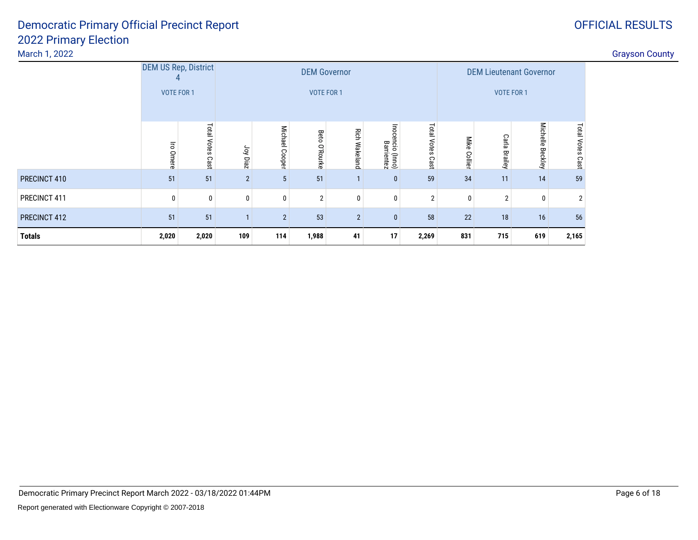| March 1, 2022 |                             |                            |             |                |                     |                      |                                                |                                |                                   |                        |       |                |  |
|---------------|-----------------------------|----------------------------|-------------|----------------|---------------------|----------------------|------------------------------------------------|--------------------------------|-----------------------------------|------------------------|-------|----------------|--|
|               | <b>DEM US Rep, District</b> |                            |             |                | <b>DEM Governor</b> |                      |                                                | <b>DEM Lieutenant Governor</b> |                                   |                        |       |                |  |
|               | <b>VOTE FOR 1</b>           |                            |             |                | <b>VOTE FOR 1</b>   |                      |                                                |                                | <b>VOTE FOR 1</b>                 |                        |       |                |  |
|               |                             |                            |             |                |                     |                      |                                                |                                |                                   |                        |       |                |  |
|               | $\overline{5}$<br>Omere     | <b>Total Votes</b><br>Cast | Joy Diaz    | Michael Cooper | Beto<br>O'Rourke    | <b>Rich Wakeland</b> | Mike<br>Collier                                | Carla<br><b>Brailey</b>        | <b>Michelle</b><br><b>Beckley</b> | Total<br>Votes<br>Cast |       |                |  |
| PRECINCT 410  | 51                          | 51                         | $2^{\circ}$ | 5 <sup>5</sup> | 51                  |                      | Inocencio (Inno)<br>Barrientez<br>$\mathbf{0}$ | Cast<br>59                     | 34                                | 11                     | 14    | 59             |  |
| PRECINCT 411  | $\mathbf{0}$                | 0                          |             | $\mathbf 0$    | 2                   |                      | $\mathbf{0}$                                   | 2                              | $\mathbf{0}$                      | $\overline{2}$         | 0     | $\overline{2}$ |  |
| PRECINCT 412  | 51                          | 51                         |             | $\overline{2}$ | 53                  | $\overline{2}$       | 22<br>58                                       | 18                             | 16                                | 56                     |       |                |  |
| <b>Totals</b> | 2,020                       | 2,020                      | 109         | 114            | 1,988               | 41                   | 2,269                                          | 831                            | 715                               | 619                    | 2,165 |                |  |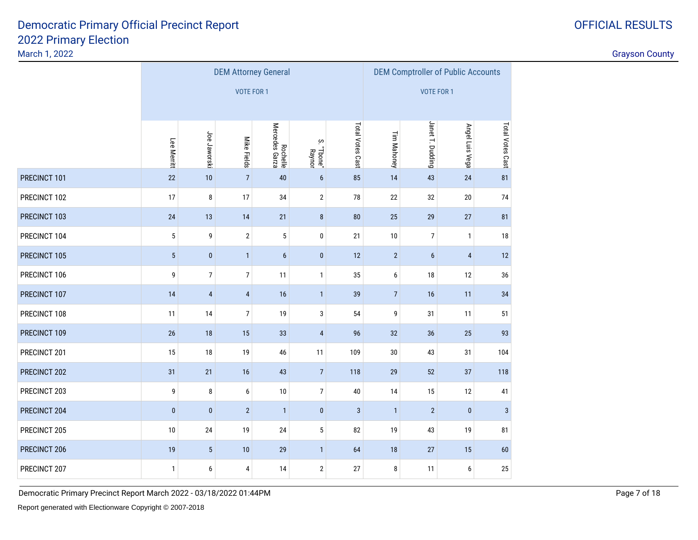|              |              |                 |                   | <b>DEM Attorney General</b> |                                          | <b>DEM Comptroller of Public Accounts</b> |                   |                  |                 |                  |  |
|--------------|--------------|-----------------|-------------------|-----------------------------|------------------------------------------|-------------------------------------------|-------------------|------------------|-----------------|------------------|--|
|              |              |                 | <b>VOTE FOR 1</b> |                             |                                          |                                           | <b>VOTE FOR 1</b> |                  |                 |                  |  |
|              | Lee Merritt  | Joe Jaworski    | Mike Fields       | Rochelle<br>Mercedes Garza  | $\rm \dot{\infty}$<br>"Tbone".<br>Raynor | Total Votes Cast                          | Tim Mahoney       | Janet T. Dudding | Angel Luis Vega | Total Votes Cast |  |
| PRECINCT 101 | $22\,$       | 10              | $\overline{7}$    | 40                          | $6\phantom{a}$                           | 85                                        | 14                | 43               | 24              | 81               |  |
| PRECINCT 102 | 17           | 8               | 17                | 34                          | $\sqrt{2}$                               | 78                                        | 22                | 32               | 20              | 74               |  |
| PRECINCT 103 | 24           | 13              | 14                | 25                          | 29                                       | 27                                        | 81                |                  |                 |                  |  |
| PRECINCT 104 | 5            | 9               | $\sqrt{2}$        | 5                           | 10                                       | $\overline{7}$                            | $\mathbf{1}$      | 18               |                 |                  |  |
| PRECINCT 105 | $5\,$        | $\pmb{0}$       | $\mathbf{1}$      | $\boldsymbol{6}$            | $\overline{2}$                           | $\boldsymbol{6}$                          | $\overline{4}$    | 12               |                 |                  |  |
| PRECINCT 106 | 9            | $\overline{7}$  | $\boldsymbol{7}$  | 11                          | $\mathbf{1}$                             | 35                                        | 6                 | 18               | 12              | 36               |  |
| PRECINCT 107 | 14           | $\overline{4}$  | $\pmb{4}$         | 16                          | $\mathbf{1}$                             | 39                                        | $\overline{7}$    | 16               | 11              | 34               |  |
| PRECINCT 108 | 11           | 14              | $\boldsymbol{7}$  | 19                          | 3                                        | 54                                        | 9                 | 31               | 11              | 51               |  |
| PRECINCT 109 | $26\,$       | 18              | 15                | 33                          | $\overline{4}$                           | 96                                        | 32                | 36               | 25              | 93               |  |
| PRECINCT 201 | 15           | 18              | 19                | 46                          | 11                                       | 109                                       | 30                | 43               | 31              | 104              |  |
| PRECINCT 202 | 31           | 21              | 16                | 43                          | $\sqrt{7}$                               | 118                                       | 29                | 52               | 37              | 118              |  |
| PRECINCT 203 | 9            | 8               | 6                 | 10                          | $\boldsymbol{7}$                         | 40                                        | 14                | 15               | 12              | 41               |  |
| PRECINCT 204 | $\pmb{0}$    | $\pmb{0}$       | $\overline{2}$    | $\mathbf{1}$                | $\pmb{0}$                                | $\mathbf{3}$                              | $\mathbf{1}$      | $\overline{2}$   | $\pmb{0}$       | $\mathbf{3}$     |  |
| PRECINCT 205 | 10           | 24              | 19                | 24                          | $\sqrt{5}$                               | 82                                        | 19                | 43               | 19              | 81               |  |
| PRECINCT 206 | 19           | $5\phantom{.0}$ | 10                | 29                          | 64                                       | 18                                        | 27                | 15               | 60              |                  |  |
| PRECINCT 207 | $\mathbf{1}$ | 6               | 4                 | 14                          | 27                                       | 8                                         | 11                | 6                | $25\,$          |                  |  |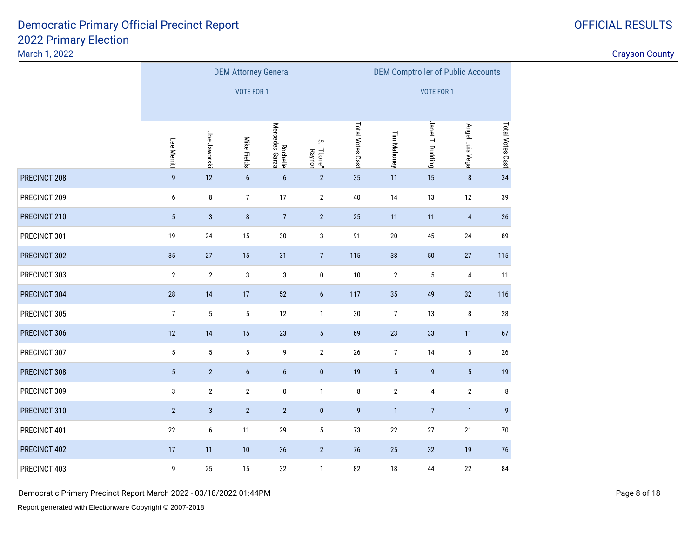March 1, 2022

|              |                |                |                   | <b>DEM Attorney General</b> |                      | <b>DEM Comptroller of Public Accounts</b> |                   |                  |                 |                  |  |
|--------------|----------------|----------------|-------------------|-----------------------------|----------------------|-------------------------------------------|-------------------|------------------|-----------------|------------------|--|
|              |                |                | <b>VOTE FOR 1</b> |                             |                      |                                           | <b>VOTE FOR 1</b> |                  |                 |                  |  |
|              | Lee Merritt    | Joe Jaworski   | Mike Fields       | Rochelle<br>Mercedes Garza  | S. "Tbone"<br>Raynor | Total Votes Cast                          | Tim Mahoney       | Janet T. Dudding | Angel Luis Vega | Total Votes Cast |  |
| PRECINCT 208 | 9              | 12             | $6\phantom{a}$    | $\boldsymbol{6}$            | $\overline{2}$       | 35                                        | 11                | 15               | $\bf 8$         | 34               |  |
| PRECINCT 209 | 6              | 8              | $\overline{7}$    | 17                          | $\sqrt{2}$           | $40\,$                                    | 14                | 13               | 12              | 39               |  |
| PRECINCT 210 | $\sqrt{5}$     | $\mathbf{3}$   | $\bf 8$           | 11                          | 11                   | $\overline{4}$                            | 26                |                  |                 |                  |  |
| PRECINCT 301 | 19             | 24             | 15                | 20                          | 45                   | 24                                        | 89                |                  |                 |                  |  |
| PRECINCT 302 | 35             | 27             | 15                | 38                          | 50                   | 27                                        | 115               |                  |                 |                  |  |
| PRECINCT 303 | $\overline{2}$ | $\sqrt{2}$     | 3                 | 3                           | $\pmb{0}$            | 10                                        | $\mathbf{2}$      | 5                | 4               | 11               |  |
| PRECINCT 304 | 28             | 14             | 17                | 52                          | $\boldsymbol{6}$     | 117                                       | 35                | 49               | 32              | 116              |  |
| PRECINCT 305 | $\overline{7}$ | 5              | $\sqrt{5}$        | 12                          | $\mathbf{1}$         | 30                                        | $\overline{7}$    | 13               | 8               | 28               |  |
| PRECINCT 306 | 12             | 14             | 15                | 23                          | $5\,$                | 69                                        | 23                | 33               | 11              | 67               |  |
| PRECINCT 307 | $\mathbf 5$    | 5              | $\sqrt{5}$        | 9                           | $\sqrt{2}$           | 26                                        | $\overline{7}$    | 14               | 5               | 26               |  |
| PRECINCT 308 | $\sqrt{5}$     | $\overline{2}$ | $\boldsymbol{6}$  | $\boldsymbol{6}$            | $\pmb{0}$            | 19                                        | $\overline{5}$    | 9                | $5\phantom{.0}$ | 19               |  |
| PRECINCT 309 | $\sqrt{3}$     | $\mathbf{2}$   | $\sqrt{2}$        | $\pmb{0}$                   | $\mathbf{1}$         | 8                                         | $\sqrt{2}$        | 4                | $\mathbf{2}$    | 8                |  |
| PRECINCT 310 | $\overline{2}$ | $\mathbf{3}$   | $\sqrt{2}$        | $\overline{2}$              | $\pmb{0}$            | 9                                         | $\mathbf{1}$      | $\overline{7}$   | $\mathbf{1}$    | 9                |  |
| PRECINCT 401 | 22             | 6              | 11                | 29                          | $5\,$                | 73                                        | 22                | 27               | 21              | 70               |  |
| PRECINCT 402 | $17$           | 11             | $10$              | 36                          | 76                   | 25                                        | 32                | 19               | 76              |                  |  |
| PRECINCT 403 | 9              | 25             | 15                | 32                          | 82                   | 18                                        | 44                | $22\,$           | 84              |                  |  |

OFFICIAL RESULTS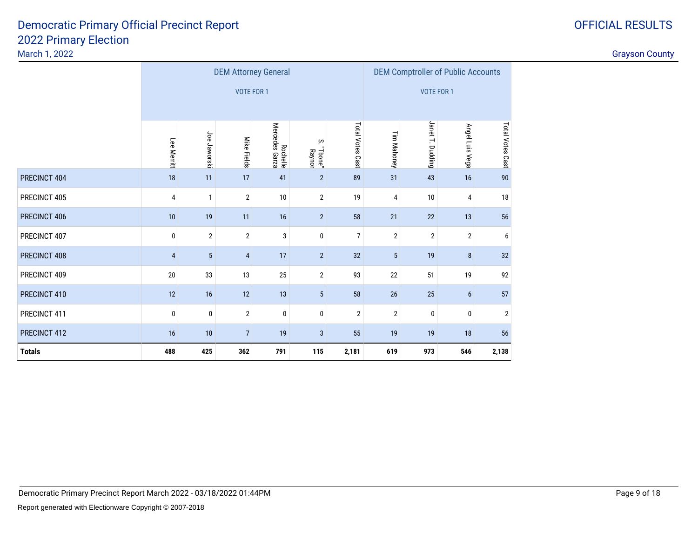March 1, 2022

|               |                |                 | <b>DEM Attorney General</b> |                            |                                     |                  | <b>DEM Comptroller of Public Accounts</b> |                  |                  |                |  |
|---------------|----------------|-----------------|-----------------------------|----------------------------|-------------------------------------|------------------|-------------------------------------------|------------------|------------------|----------------|--|
|               |                |                 | <b>VOTE FOR 1</b>           |                            |                                     |                  |                                           | VOTE FOR 1       |                  |                |  |
|               |                |                 |                             |                            |                                     |                  |                                           |                  |                  |                |  |
|               | Lee Merritt    | Joe Jaworski    | Mike Fields                 | Rochelle<br>Mercedes Garza | Tim Mahoney                         | Janet T. Dudding | Angel Luis Vega                           | Total Votes Cast |                  |                |  |
| PRECINCT 404  | 18             | 11              | 17                          | 41                         | "Tbone"<br>Raynor<br>$\overline{2}$ | 89               | 31                                        | 43               | 16               | 90             |  |
| PRECINCT 405  | 4              | $\mathbf{1}$    | $\overline{2}$              | 10                         | 4                                   | 10               | 4                                         | 18               |                  |                |  |
| PRECINCT 406  | 10             | 19              | 11                          | 16                         | $\overline{2}$                      | 58               | 21                                        | 22               | 13               | 56             |  |
| PRECINCT 407  | $\pmb{0}$      | $\overline{2}$  | $\overline{2}$              | 3                          | $\pmb{0}$                           | $\overline{7}$   | $\overline{2}$                            | $\overline{2}$   | $\mathbf{2}$     | 6              |  |
| PRECINCT 408  | $\overline{4}$ | $5\phantom{.0}$ | $\overline{4}$              | 17                         | $\overline{2}$                      | 32               | $5\phantom{.0}$                           | 19               | $\bf 8$          | 32             |  |
| PRECINCT 409  | $20\,$         | 33              | 13                          | 25                         | $\sqrt{2}$                          | 93               | 22                                        | 51               | 19               | 92             |  |
| PRECINCT 410  | 12             | 16              | 12                          | 13                         | $\sqrt{5}$                          | 58               | $26\,$                                    | 25               | $\boldsymbol{6}$ | 57             |  |
| PRECINCT 411  | 0              | $\bf{0}$        | $\overline{2}$              | 0                          | 0                                   | $\overline{2}$   | $\overline{2}$                            | 0                | $\bf{0}$         | $\overline{2}$ |  |
| PRECINCT 412  | 16             | 10              | $\overline{7}$              | 19                         | 55                                  | 19               | 19                                        | 18               | 56               |                |  |
| <b>Totals</b> | 488            | 425             | 362                         | 791                        | 115                                 | 2,181            | 619                                       | 973              | 546              | 2,138          |  |

#### OFFICIAL RESULTS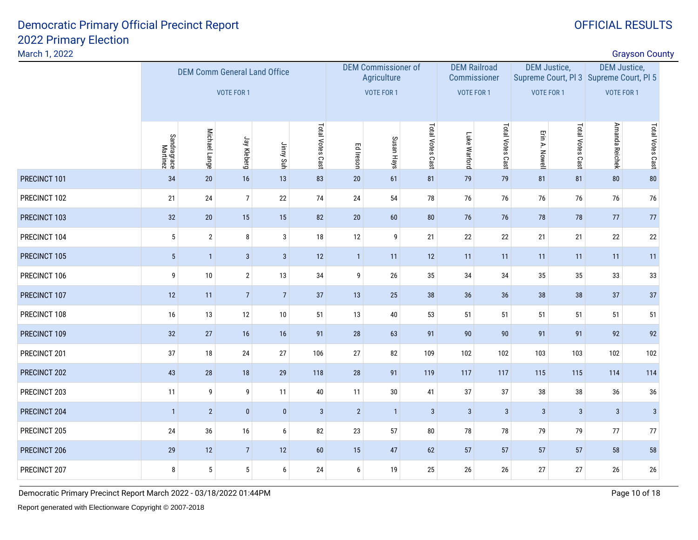| March 1, 2022 |                         |                                     |                   |                  |                  |              |                                           |                  |                                     |                  |                     |                  |                                                                | <b>Grayson County</b> |  |
|---------------|-------------------------|-------------------------------------|-------------------|------------------|------------------|--------------|-------------------------------------------|------------------|-------------------------------------|------------------|---------------------|------------------|----------------------------------------------------------------|-----------------------|--|
|               |                         | <b>DEM Comm General Land Office</b> |                   |                  |                  |              | <b>DEM Commissioner of</b><br>Agriculture |                  | <b>DEM Railroad</b><br>Commissioner |                  | <b>DEM Justice,</b> |                  | <b>DEM Justice,</b><br>Supreme Court, PI 3 Supreme Court, PI 5 |                       |  |
|               |                         |                                     | <b>VOTE FOR 1</b> |                  |                  |              | VOTE FOR 1                                |                  | <b>VOTE FOR 1</b>                   |                  | <b>VOTE FOR 1</b>   |                  | <b>VOTE FOR 1</b>                                              |                       |  |
|               | Sandragrace<br>Martinez | Michael Lange                       | Jay Kleberg       | Jimny Suh        | Total Votes Cast | Ed Ireson    | Susan Hays                                | Total Votes Cast | Luke Warford                        | Total Votes Cast | Erin A. Nowell      | Total Votes Cast | Amanda Reichek                                                 | Total Votes Cast      |  |
| PRECINCT 101  | 34                      | $20\,$                              | 16                | 13               | 83               | $20\,$       | 61                                        | 81               | 79                                  | 79               | 81                  | 81               | ${\bf 80}$                                                     | 80                    |  |
| PRECINCT 102  | 21                      | 24                                  | $\overline{7}$    | 22               | 74               | 24           | 54                                        | 78               | 76                                  | 76               | 76                  | 76               | 76                                                             | 76                    |  |
| PRECINCT 103  | 32                      | 20                                  | 15                | 15               | 82               | $20\,$       | 60                                        | ${\bf 80}$       | 76                                  | 76               | $78\,$              | 78               | 77                                                             | 77                    |  |
| PRECINCT 104  | $5\phantom{.0}$         | $\overline{2}$                      | 8                 | $\mathbf{3}$     | 18               | 12           | 9                                         | 21               | 22                                  | 22               | 21                  | 21               | 22                                                             | 22                    |  |
| PRECINCT 105  | $5\,$                   | $\overline{1}$                      | $\sqrt{3}$        | $\sqrt{3}$       | 12               | $\mathbf{1}$ | 11                                        | 12               | 11                                  | 11               | 11                  | 11               | 11                                                             | 11                    |  |
| PRECINCT 106  | 9                       | 10                                  | $\mathbf{2}$      | 13               | 34               | 9            | $26\,$                                    | 35               | 34                                  | 34               | 35                  | 35               | 33                                                             | 33                    |  |
| PRECINCT 107  | 12                      | 11                                  | $\overline{7}$    | $\overline{7}$   | 37               | 13           | 25                                        | 38               | 36                                  | 36               | 38                  | 38               | 37                                                             | 37                    |  |
| PRECINCT 108  | 16                      | 13                                  | 12                | 10               | 51               | 13           | 40                                        | 53               | 51                                  | 51               | 51                  | 51               | 51                                                             | 51                    |  |
| PRECINCT 109  | 32                      | 27                                  | 16                | 16               | 91               | 28           | 63                                        | 91               | 90                                  | $90\,$           | 91                  | 91               | 92                                                             | 92                    |  |
| PRECINCT 201  | 37                      | $18\,$                              | 24                | 27               | 106              | 27           | 82                                        | 109              | 102                                 | 102              | 103                 | 103              | 102                                                            | 102                   |  |
| PRECINCT 202  | 43                      | 28                                  | 18                | 29               | 118              | 28           | 91                                        | 119              | 117                                 | 117              | 115                 | 115              | 114                                                            | 114                   |  |
| PRECINCT 203  | 11                      | 9                                   | $\boldsymbol{9}$  | 11               | $40\,$           | 11           | 30                                        | 41               | 37                                  | $37\,$           | 38                  | $38\,$           | 36                                                             | 36                    |  |
| PRECINCT 204  | $\overline{1}$          | $\overline{2}$                      | $\pmb{0}$         | $\pmb{0}$        | $\sqrt{3}$       | $\sqrt{2}$   | $\overline{1}$                            | $\sqrt{3}$       | $\mathbf{3}$                        | $\sqrt{3}$       | $\mathbf{3}$        | $\sqrt{3}$       | $\mathbf{3}$                                                   | $\sqrt{3}$            |  |
| PRECINCT 205  | 24                      | 36                                  | $16\,$            | $\boldsymbol{6}$ | 82               | 23           | 57                                        | ${\bf 80}$       | 78                                  | $78\,$           | 79                  | 79               | $77\,$                                                         | 77                    |  |
| PRECINCT 206  | 29                      | 12                                  | $\overline{7}$    | 12               | 60               | 15           | 47                                        | 62               | 57                                  | 57               | 57                  | 57               | 58                                                             | 58                    |  |
| PRECINCT 207  | 8                       | $5\phantom{.0}$                     | $\sqrt{5}$        | 6                | 24               | 6            | 19                                        | 25               | 26                                  | $26\,$           | 27                  | 27               | 26                                                             | 26                    |  |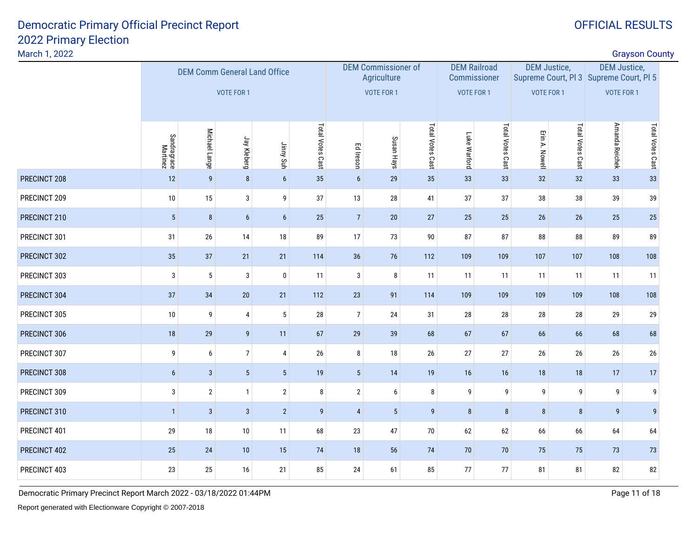March 1, 2022

|                  | <b>DEM Comm General Land Office</b><br><b>VOTE FOR 1</b> |                  |                  |                  |                 |                 |                  |                                           |                  |                                                          |                  |                                          |                  |                                                                                                                                  |
|------------------|----------------------------------------------------------|------------------|------------------|------------------|-----------------|-----------------|------------------|-------------------------------------------|------------------|----------------------------------------------------------|------------------|------------------------------------------|------------------|----------------------------------------------------------------------------------------------------------------------------------|
|                  |                                                          |                  |                  |                  |                 |                 |                  |                                           |                  |                                                          |                  |                                          |                  |                                                                                                                                  |
|                  | Michael Lange                                            | Jay Kleberg      |                  | Total Votes Cast | Ed Ireson       | Susan Hays      | Total Votes Cast | Luke Warford                              | Total Votes Cast | Erin A. Nowell                                           | Total Votes Cast | Amanda Reichek                           |                  |                                                                                                                                  |
| 12               | $\overline{9}$                                           | $\bf 8$          | $6\phantom{1}$   | 35               | $6\overline{6}$ | 29              | 35               | 33                                        | 33               | 32                                                       | 32               | 33                                       | 33               |                                                                                                                                  |
| $10\,$           | 15                                                       | $\sqrt{3}$       | 9                | 37               | 13              | 28              | 41               | 37                                        | $37\,$           | 38                                                       | 38               | 39                                       | 39               |                                                                                                                                  |
| $\overline{5}$   | $\bf 8$                                                  | $\boldsymbol{6}$ | $\boldsymbol{6}$ | 25               | $\overline{7}$  | $20\,$          | $27\,$           | 25                                        | 25               | $26\,$                                                   | $26\,$           | 25                                       | 25               |                                                                                                                                  |
| 31               | 26                                                       | 14               | 18               | 89               | 17              | 73              | 90               | 87                                        | 87               | 88                                                       | 88               | 89                                       | 89               |                                                                                                                                  |
| 35               | 37                                                       | 21               | 21               | 114              | 36              | 76              | 112              | 109                                       | 109              | 107                                                      | 107              | 108                                      | 108              |                                                                                                                                  |
| 3                | 5                                                        | 3                | 0                | 11               | 3               | 8               | 11               | 11                                        | 11               | 11                                                       | 11               | 11                                       | 11               |                                                                                                                                  |
| 37               | 34                                                       | 20               | 21               | 112              | $23\,$          | 91              | 114              | 109                                       | 109              | 109                                                      | 109              | 108                                      | 108              |                                                                                                                                  |
| $10$             | 9                                                        | $\pmb{4}$        | $5\phantom{.0}$  | $28\,$           | $\overline{7}$  | 24              | 31               | 28                                        | $28\,$           | 28                                                       | 28               | 29                                       | 29               |                                                                                                                                  |
| 18               | 29                                                       | $\boldsymbol{9}$ | 11               | 67               | 29              | 39              | 68               | 67                                        | 67               | 66                                                       | 66               | 68                                       | 68               |                                                                                                                                  |
| 9                | 6                                                        |                  | $\overline{4}$   | 26               | 8               | 18              | 26               | 27                                        | $27\,$           | 26                                                       | 26               | 26                                       | 26               |                                                                                                                                  |
| $\boldsymbol{6}$ | $\mathbf{3}$                                             | $\sqrt{5}$       | $\overline{5}$   | 19               | $5\phantom{.0}$ | 14              | 19               | 16                                        | 16               | 18                                                       | 18               | 17                                       | 17               |                                                                                                                                  |
| $\sqrt{3}$       | $\overline{2}$                                           | $\mathbf{1}$     | $\mathbf{2}$     | $\bf 8$          | $\overline{2}$  | 6               | 8                | 9                                         | $\boldsymbol{9}$ | 9                                                        | 9                | 9                                        | 9                |                                                                                                                                  |
| $\mathbf{1}$     | $\mathbf{3}$                                             | $\sqrt{3}$       | $\overline{2}$   | $\boldsymbol{9}$ | $\overline{4}$  | $5\phantom{.0}$ | 9                | 8                                         | 8                | $\bf 8$                                                  | $\bf 8$          | 9                                        | $\boldsymbol{9}$ |                                                                                                                                  |
| 29               | 18                                                       | 10               | 11               | 68               | $23\,$          | 47              | $70\,$           | 62                                        | 62               | 66                                                       | 66               | 64                                       | 64               |                                                                                                                                  |
| 25               | 24                                                       | 10               | 15               | 74               | 18              | 56              | 74               | 70                                        | $70$             | 75                                                       | 75               | 73                                       | 73               |                                                                                                                                  |
| 23               | 25                                                       | 16               | 21               | 85               | 24              | 61              | 85               | 77                                        | $77\,$           | 81                                                       | 81               | 82                                       | 82               |                                                                                                                                  |
|                  | Sandragrace<br>Martinez                                  |                  |                  | 7 <sup>1</sup>   | Jimy Suh        |                 | VOTE FOR 1       | <b>DEM Commissioner of</b><br>Agriculture |                  | <b>DEM Railroad</b><br>Commissioner<br><b>VOTE FOR 1</b> |                  | <b>DEM Justice,</b><br><b>VOTE FOR 1</b> |                  | <b>Grayson County</b><br><b>DEM Justice,</b><br>Supreme Court, PI 3 Supreme Court, PI 5<br><b>VOTE FOR 1</b><br>Total Votes Cast |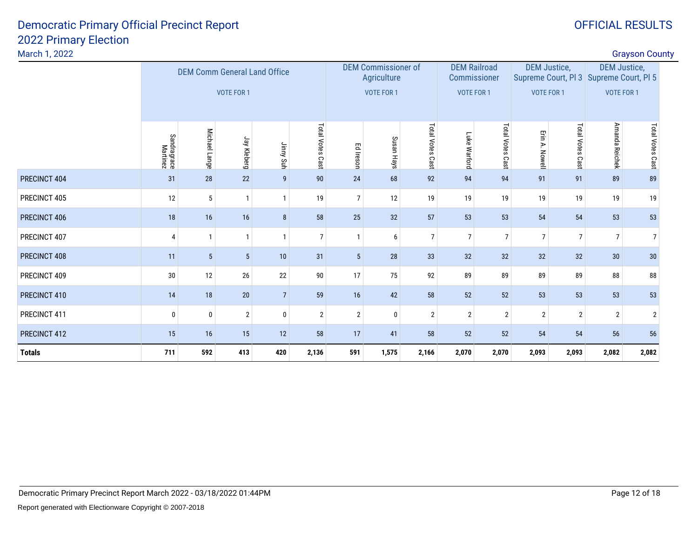| <b>Grayson County</b> |  |
|-----------------------|--|

| March 1, 2022 |                                     |                |                 |                 |                  |                |                                                                                  |                     |                |                     |                   |                                                                |                 | <b>Grayson County</b> |  |
|---------------|-------------------------------------|----------------|-----------------|-----------------|------------------|----------------|----------------------------------------------------------------------------------|---------------------|----------------|---------------------|-------------------|----------------------------------------------------------------|-----------------|-----------------------|--|
|               | <b>DEM Comm General Land Office</b> |                |                 |                 |                  |                | <b>DEM Railroad</b><br><b>DEM Commissioner of</b><br>Agriculture<br>Commissioner |                     |                | <b>DEM Justice,</b> |                   | <b>DEM Justice,</b><br>Supreme Court, PI 3 Supreme Court, PI 5 |                 |                       |  |
|               | VOTE FOR 1                          |                |                 |                 | VOTE FOR 1       |                | VOTE FOR 1                                                                       |                     | VOTE FOR 1     |                     | VOTE FOR 1        |                                                                |                 |                       |  |
|               | Sandragrace<br>Martinez             | Michael Lange  | Jay Kleberg     | Jimny Suh       | Total Votes Cast | Ed Ireson      | Susan<br>Hays                                                                    | Total Votes<br>Cast | Luke Warford   | Total Votes Cast    | Erin A.<br>Nowell | Total Votes Cast                                               | Amanda Reichek  | Total Votes Cast      |  |
| PRECINCT 404  | 31                                  | 28             | 22              | 9               | 90               | 24             | 68                                                                               | 92                  | 94             | 94                  | 91                | 91                                                             | 89              | 89                    |  |
| PRECINCT 405  | 12                                  | 5              | $\mathbf{1}$    | $\mathbf{1}$    | 19               | $\overline{7}$ | 12                                                                               | 19                  | 19             | 19                  | 19                | 19                                                             | 19              | 19                    |  |
| PRECINCT 406  | 18                                  | 16             | 16              | 8               | 58               | 25             | 32                                                                               | 57                  | 53             | 53                  | 54                | 54                                                             | 53              | 53                    |  |
| PRECINCT 407  | 4                                   | $\overline{1}$ | $\mathbf{1}$    | $\mathbf{1}$    | $\overline{7}$   | $\mathbf{1}$   | 6                                                                                | $\overline{7}$      | $\overline{7}$ | $\overline{7}$      | $\overline{7}$    | $\overline{7}$                                                 | $\overline{7}$  | $\overline{7}$        |  |
| PRECINCT 408  | 11                                  | 5              | $5\phantom{.0}$ | 10              | 31               | 5              | 28                                                                               | 33                  | 32             | 32                  | 32                | 32                                                             | 30 <sup>°</sup> | 30                    |  |
| PRECINCT 409  | 30                                  | 12             | 26              | 22              | 90               | 17             | 75                                                                               | 92                  | 89             | 89                  | 89                | 89                                                             | 88              | 88                    |  |
| PRECINCT 410  | 14                                  | 18             | 20              | $7\overline{ }$ | 59               | 16             | 42                                                                               | 58                  | 52             | 52                  | 53                | 53                                                             | 53              | 53                    |  |
| PRECINCT 411  | $\mathbf 0$                         | 0              | $\overline{2}$  | 0               | $\mathbf{2}$     | $\overline{2}$ | 0                                                                                | $\overline{2}$      | $\overline{2}$ | $\overline{2}$      | $\overline{2}$    | $\overline{2}$                                                 | $\overline{2}$  | $\overline{2}$        |  |
| PRECINCT 412  | 15                                  | 16             | 15              | 12              | 58               | 17             | 41                                                                               | 58                  | 52             | 52                  | 54                | 54                                                             | 56              | 56                    |  |
| <b>Totals</b> | 711                                 | 592            | 413             | 420             | 2,136            | 591            | 1,575                                                                            | 2,166               | 2,070          | 2,070               | 2,093             | 2,093                                                          | 2,082           | 2,082                 |  |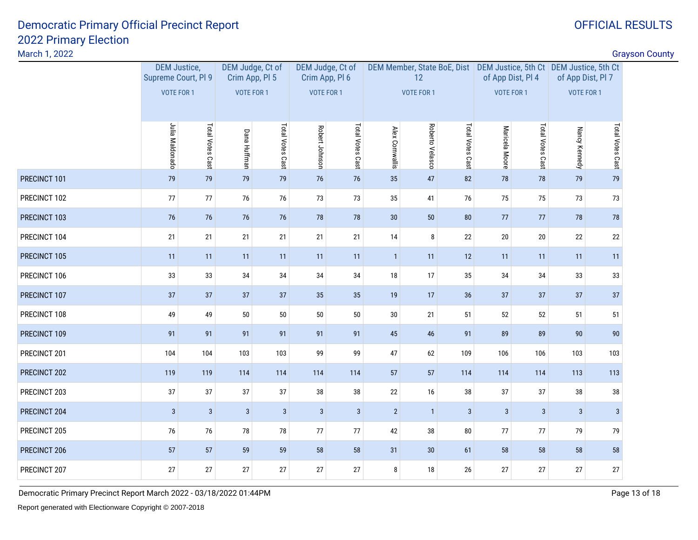March 1, 2022

| <b>Grayson County</b> |  |
|-----------------------|--|
|-----------------------|--|

| March 1, 2022 |                                                                 |                  |                                                         |                  |                |                                                         |                 |                                                                                                |                  |                |                                        |                                        |                  | <b>Grayson County</b> |
|---------------|-----------------------------------------------------------------|------------------|---------------------------------------------------------|------------------|----------------|---------------------------------------------------------|-----------------|------------------------------------------------------------------------------------------------|------------------|----------------|----------------------------------------|----------------------------------------|------------------|-----------------------|
|               | <b>DEM Justice,</b><br>Supreme Court, PI 9<br><b>VOTE FOR 1</b> |                  | DEM Judge, Ct of<br>Crim App, PI 5<br><b>VOTE FOR 1</b> |                  |                | DEM Judge, Ct of<br>Crim App, Pl 6<br><b>VOTE FOR 1</b> |                 | DEM Member, State BoE, Dist DEM Justice, 5th Ct DEM Justice, 5th Ct<br>12<br><b>VOTE FOR 1</b> |                  |                | of App Dist, Pl 4<br><b>VOTE FOR 1</b> | of App Dist, Pl 7<br><b>VOTE FOR 1</b> |                  |                       |
|               | Julia Maldonado                                                 | Total Votes Cast | <b>Dana Huffman</b>                                     | Total Votes Cast | Robert Johnson | Total Votes Cast                                        | Alex Cornwallis | Roberto Velasco                                                                                | Total Votes Cast | Maricela Moore | Total Votes Cast                       | Nancy Kennedy                          | Total Votes Cast |                       |
| PRECINCT 101  | 79                                                              | 79               | 79                                                      | 79               | 76             | 76                                                      | 35              | 47                                                                                             | 82               | 78             | 78                                     | 79                                     | 79               |                       |
| PRECINCT 102  | 77                                                              | $77$             | 76                                                      | 76               | $73\,$         | 73                                                      | $35\,$          | 41                                                                                             | 76               | 75             | 75                                     | 73                                     | 73               |                       |
| PRECINCT 103  | 76                                                              | 76               | 76                                                      | 76               | 78             | 78                                                      | 30              | 50                                                                                             | 80               | 77             | 77                                     | 78                                     | 78               |                       |
| PRECINCT 104  | 21                                                              | 21               | 21                                                      | 21               | 21             | 21                                                      | 14              | 8                                                                                              | 22               | $20\,$         | $20\,$                                 | $22\,$                                 | 22               |                       |
| PRECINCT 105  | 11                                                              | 11               | 11                                                      | 11               | 11             | 11                                                      | $\mathbf{1}$    | 11                                                                                             | 12               | 11             | 11                                     | 11                                     | 11               |                       |
| PRECINCT 106  | 33                                                              | 33               | 34                                                      | 34               | $34\,$         | 34                                                      | $18\,$          | 17                                                                                             | 35               | 34             | 34                                     | 33                                     | 33               |                       |
| PRECINCT 107  | 37                                                              | 37               | 37                                                      | 37               | 35             | 35                                                      | 19              | 17                                                                                             | 36               | 37             | 37                                     | 37                                     | 37               |                       |
| PRECINCT 108  | 49                                                              | 49               | $50\,$                                                  | $50\,$           | $50\,$         | $50\,$                                                  | $30\,$          | 21                                                                                             | 51               | $52\,$         | 52                                     | 51                                     | 51               |                       |
| PRECINCT 109  | 91                                                              | 91               | 91                                                      | 91               | 91             | 91                                                      | 45              | 46                                                                                             | 91               | 89             | 89                                     | 90                                     | 90               |                       |
| PRECINCT 201  | 104                                                             | 104              | 103                                                     | 103              | 99             | 99                                                      | 47              | 62                                                                                             | 109              | 106            | 106                                    | 103                                    | 103              |                       |
| PRECINCT 202  | 119                                                             | 119              | 114                                                     | 114              | 114            | 114                                                     | 57              | 57                                                                                             | 114              | 114            | 114                                    | 113                                    | 113              |                       |
| PRECINCT 203  | 37                                                              | 37               | 37                                                      | $37\,$           | 38             | 38                                                      | 22              | 16                                                                                             | 38               | 37             | 37                                     | $38\,$                                 | 38               |                       |
| PRECINCT 204  | $\mathbf{3}$                                                    | $\sqrt{3}$       | $\mathbf{3}$                                            | $\mathbf{3}$     | $\mathbf{3}$   | $\mathbf{3}$                                            | $\sqrt{2}$      | $\mathbf{1}$                                                                                   | $\mathbf{3}$     | $\mathbf{3}$   | 3                                      | $\sqrt{3}$                             | $\mathbf{3}$     |                       |
| PRECINCT 205  | 76                                                              | 76               | 78                                                      | 78               | 77             | 77                                                      | 42              | 38                                                                                             | ${\bf 80}$       | 77             | 77                                     | 79                                     | 79               |                       |
| PRECINCT 206  | 57                                                              | 57               | 59                                                      | 59               | 58             | 58                                                      | 31              | 30                                                                                             | 61               | 58             | 58                                     | 58                                     | 58               |                       |
| PRECINCT 207  | 27                                                              | 27               | 27                                                      | $27\,$           | 27             | 27                                                      | 8               | 18                                                                                             | 26               | 27             | 27                                     | 27                                     | 27               |                       |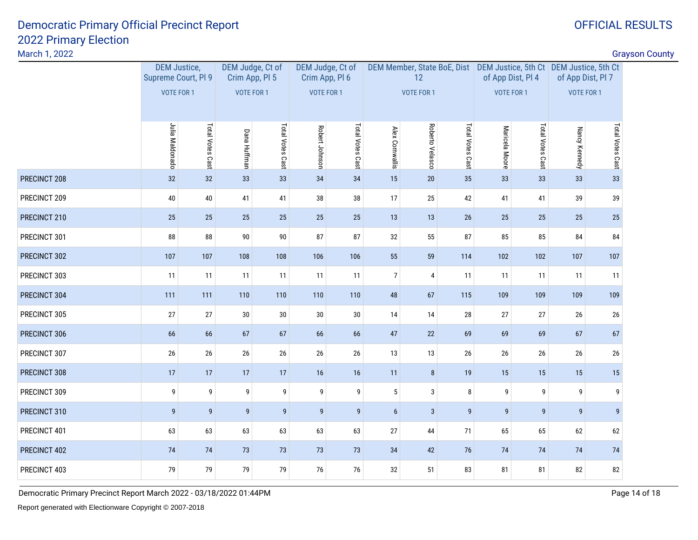March 1, 2022

discussion of the contract of the contract of the contract of the contract of the contract of the contract of the contract of the contract of the contract of the contract of the contract of the contract of the contract of

|              | <b>DEM Justice,</b><br>Supreme Court, Pl 9<br>VOTE FOR 1 |                  | DEM Judge, Ct of<br>Crim App, Pl 5<br>VOTE FOR 1 |                  |                | DEM Judge, Ct of<br>Crim App, Pl 6<br><b>VOTE FOR 1</b> |                 | DEM Member, State BoE, Dist DEM Justice, 5th Ct DEM Justice, 5th Ct<br>12<br><b>VOTE FOR 1</b> |                  |                  | of App Dist, Pl 4<br>VOTE FOR 1 |                  | of App Dist, Pl 7<br><b>VOTE FOR 1</b> |
|--------------|----------------------------------------------------------|------------------|--------------------------------------------------|------------------|----------------|---------------------------------------------------------|-----------------|------------------------------------------------------------------------------------------------|------------------|------------------|---------------------------------|------------------|----------------------------------------|
|              | Julia Maldonado                                          | Total Votes Cast | <b>Dana Huffman</b>                              | Total Votes Cast | Robert Johnson | Total Votes Cast                                        | Alex Cornwallis | Roberto Velasco                                                                                | Total Votes Cast | Maricela Moore   | Total Votes Cast                | Nancy Kennedy    | Total Votes Cast                       |
| PRECINCT 208 | 32                                                       | 32               | 33                                               | 33               | 34             | 34                                                      | 15              | 20                                                                                             | 35               | 33               | 33                              | 33               | 33                                     |
| PRECINCT 209 | 40                                                       | $40\,$           | 41                                               | 41               | 38             | 38                                                      | 17              | 25                                                                                             | 42               | 41               | 41                              | 39               | 39                                     |
| PRECINCT 210 | 25                                                       | 25               | 25                                               | 25               | 25             | 25                                                      | 13              | 13                                                                                             | 26               | 25               | 25                              | 25               | 25                                     |
| PRECINCT 301 | 88                                                       | 88               | 90                                               | $90\,$           | 87             | 87                                                      | 32              | 55                                                                                             | 87               | 85               | 85                              | 84               | 84                                     |
| PRECINCT 302 | 107                                                      | 107              | 108                                              | 108              | 106            | 106                                                     | 55              | 59                                                                                             | 114              | 102              | 102                             | 107              | 107                                    |
| PRECINCT 303 | 11                                                       | 11               | 11                                               | 11               | 11             | 11                                                      | $\overline{7}$  | $\overline{4}$                                                                                 | 11               | 11               | 11                              | 11               | 11                                     |
| PRECINCT 304 | 111                                                      | 111              | 110                                              | 110              | 110            | 110                                                     | 48              | 67                                                                                             | 115              | 109              | 109                             | 109              | 109                                    |
| PRECINCT 305 | $27\,$                                                   | 27               | 30                                               | $30\,$           | 30             | 30                                                      | 14              | $14$                                                                                           | 28               | 27               | 27                              | $26\,$           | 26                                     |
| PRECINCT 306 | 66                                                       | 66               | 67                                               | 67               | 66             | 66                                                      | 47              | 22                                                                                             | 69               | 69               | 69                              | 67               | 67                                     |
| PRECINCT 307 | 26                                                       | 26               | 26                                               | $26\phantom{.}$  | 26             | 26                                                      | 13              | 13                                                                                             | 26               | 26               | 26                              | $26\,$           | 26                                     |
| PRECINCT 308 | 17                                                       | 17               | 17                                               | 17               | 16             | 16                                                      | 11              | $\bf 8$                                                                                        | 19               | 15               | 15                              | 15               | 15                                     |
| PRECINCT 309 | 9                                                        | 9                | 9                                                | $\boldsymbol{9}$ | 9              | 9                                                       | $5\phantom{.0}$ | $\mathbf{3}$                                                                                   | 8                | 9                | 9                               | 9                | 9                                      |
| PRECINCT 310 | $\overline{9}$                                           | $\overline{9}$   | $\overline{9}$                                   | 9                | 9              | $\boldsymbol{9}$                                        | 6               | $\mathbf{3}$                                                                                   | $\overline{9}$   | $\boldsymbol{9}$ | $\overline{9}$                  | $\boldsymbol{9}$ | 9                                      |
| PRECINCT 401 | 63                                                       | 63               | 63                                               | 63               | 63             | 63                                                      | 27              | 44                                                                                             | 71               | 65               | 65                              | 62               | 62                                     |
| PRECINCT 402 | $74$                                                     | 74               | $73\,$                                           | 73               | 73             | 73                                                      | 34              | 42                                                                                             | 76               | 74               | $74$                            | $74$             | 74                                     |
| PRECINCT 403 | 79                                                       | 79               | 79                                               | 79               | 76             | 76                                                      | 32              | $51\,$                                                                                         | 83               | 81               | 81                              | 82               | 82                                     |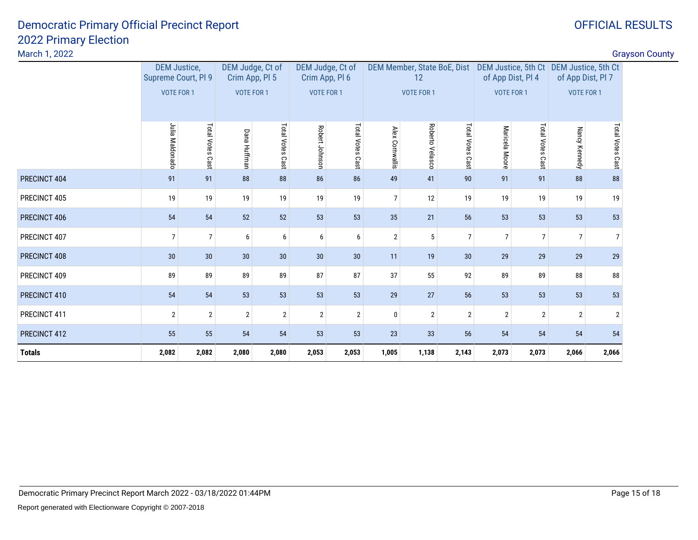|  | <b>OFFICIAL RESULTS</b> |
|--|-------------------------|
|  |                         |

| March 1, 2022 |                                                                                  |                     |                                                                         |                  |                                          |                     |                                          |                    |                   |                |                              |                | <b>Grayson County</b> |
|---------------|----------------------------------------------------------------------------------|---------------------|-------------------------------------------------------------------------|------------------|------------------------------------------|---------------------|------------------------------------------|--------------------|-------------------|----------------|------------------------------|----------------|-----------------------|
|               | DEM Judge, Ct of<br><b>DEM Justice,</b><br>Supreme Court, PI 9<br>Crim App, PI 5 |                     | DEM Judge, Ct of<br>DEM Member, State BoE, Dist<br>Crim App, Pl 6<br>12 |                  | DEM Justice, 5th Ct<br>of App Dist, Pl 4 |                     | DEM Justice, 5th Ct<br>of App Dist, Pl 7 |                    |                   |                |                              |                |                       |
|               | VOTE FOR 1                                                                       |                     | <b>VOTE FOR 1</b><br><b>VOTE FOR 1</b>                                  |                  |                                          | <b>VOTE FOR 1</b>   |                                          |                    | <b>VOTE FOR 1</b> |                | <b>VOTE FOR 1</b>            |                |                       |
|               | Julia Maldonado                                                                  | Total Votes<br>Cast | Dana Huffman                                                            | Total Votes Cast | Robert Johnson                           | Total Votes<br>Cast | Alex Cornwallis                          | Roberto<br>Velasco | Total Votes Cast  | Maricela Moore | <b>Total Votes</b><br>: Cast | Nancy Kennedy  | Total Votes Cast      |
| PRECINCT 404  | 91                                                                               | 91                  | 88                                                                      | 88               | 86                                       | 86                  | 49                                       | 41                 | 90                | 91             | 91                           | 88             | 88                    |
| PRECINCT 405  | 19                                                                               | 19                  | 19                                                                      | 19               | 19                                       | 19                  | $\overline{7}$                           | 12                 | 19                | 19             | 19                           | 19             | 19                    |
| PRECINCT 406  | 54                                                                               | 54                  | 52                                                                      | 52               | 53                                       | 53                  | 35                                       | 21                 | 56                | 53             | 53                           | 53             | 53                    |
| PRECINCT 407  | $\overline{7}$                                                                   | $\overline{7}$      | 6                                                                       | 6                | 6                                        | 6                   | $\overline{2}$                           | 5                  | $\overline{7}$    | $\overline{7}$ | $\overline{7}$               | $\overline{7}$ | $\overline{7}$        |
| PRECINCT 408  | 30                                                                               | 30 <sup>°</sup>     | 30                                                                      | 30               | 30                                       | 30                  | 11                                       | 19                 | 30                | 29             | 29                           | 29             | 29                    |
| PRECINCT 409  | 89                                                                               | 89                  | 89                                                                      | 89               | 87                                       | 87                  | 37                                       | 55                 | 92                | 89             | 89                           | 88             | 88                    |
| PRECINCT 410  | 54                                                                               | 54                  | 53                                                                      | 53               | 53                                       | 53                  | 29                                       | 27                 | 56                | 53             | 53                           | 53             | 53                    |
| PRECINCT 411  | $\overline{2}$                                                                   | $\overline{2}$      | $\overline{2}$                                                          | $\mathbf{2}$     | $\overline{2}$                           | $\overline{2}$      | $\mathbf{0}$                             | $\overline{2}$     | $\overline{2}$    | $\overline{2}$ | $\overline{2}$               | $\overline{2}$ | $\overline{2}$        |
| PRECINCT 412  | 55                                                                               | 55                  | 54                                                                      | 54               | 53                                       | 53                  | 23                                       | 33                 | 56                | 54             | 54                           | 54             | 54                    |
| <b>Totals</b> | 2,082                                                                            | 2,082               | 2,080                                                                   | 2,080            | 2,053                                    | 2,053               | 1,005                                    | 1,138              | 2,143             | 2,073          | 2,073                        | 2,066          | 2,066                 |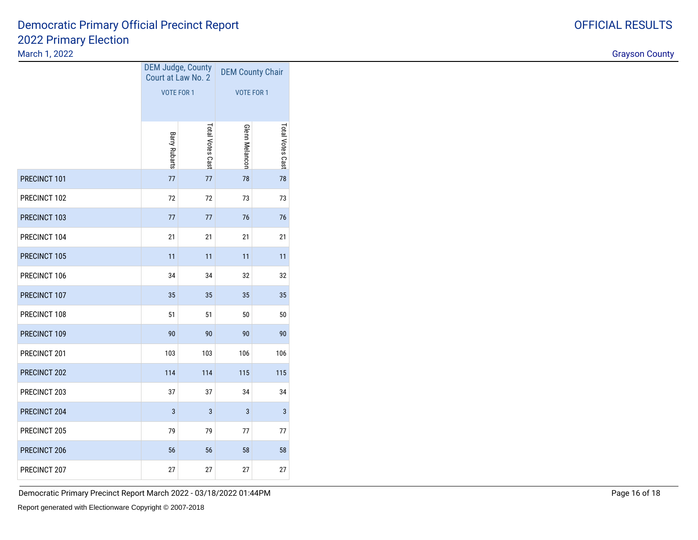#### March 1, 2022

|              | <b>DEM Judge, County</b><br>Court at Law No. 2 |                         | <b>DEM County Chair</b> |                  |  |  |
|--------------|------------------------------------------------|-------------------------|-------------------------|------------------|--|--|
|              | <b>VOTE FOR 1</b>                              |                         | <b>VOTE FOR 1</b>       |                  |  |  |
|              |                                                |                         |                         |                  |  |  |
|              | <b>Barry Rubarts</b>                           | <b>Total Votes Cast</b> | <b>Glenn Melancon</b>   | Total Votes Cast |  |  |
| PRECINCT 101 | 77                                             | 77                      | 78                      | 78               |  |  |
| PRECINCT 102 | 72                                             | 72                      | 73                      | 73               |  |  |
| PRECINCT 103 | 77                                             | 77                      | 76                      | 76               |  |  |
| PRECINCT 104 | 21                                             | 21                      | 21                      | 21               |  |  |
| PRECINCT 105 | 11                                             | 11                      | 11                      | 11               |  |  |
| PRECINCT 106 | 34                                             | 34                      | 32                      | 32               |  |  |
| PRECINCT 107 | 35                                             | 35                      | 35                      | 35               |  |  |
| PRECINCT 108 | 51                                             | 51                      | 50                      | 50               |  |  |
| PRECINCT 109 | 90                                             | 90                      | 90                      | 90               |  |  |
| PRECINCT 201 | 103                                            | 103                     | 106                     | 106              |  |  |
| PRECINCT 202 | 114                                            | 114                     | 115                     | 115              |  |  |
| PRECINCT 203 | 37                                             | 37                      | 34                      | 34               |  |  |
| PRECINCT 204 | 3                                              | 3                       | 3                       | 3                |  |  |
| PRECINCT 205 | 79                                             | 79                      | 77                      | 77               |  |  |
| PRECINCT 206 | 56                                             | 56                      | 58                      | 58               |  |  |
| PRECINCT 207 | 27                                             | 27                      | 27                      | 27               |  |  |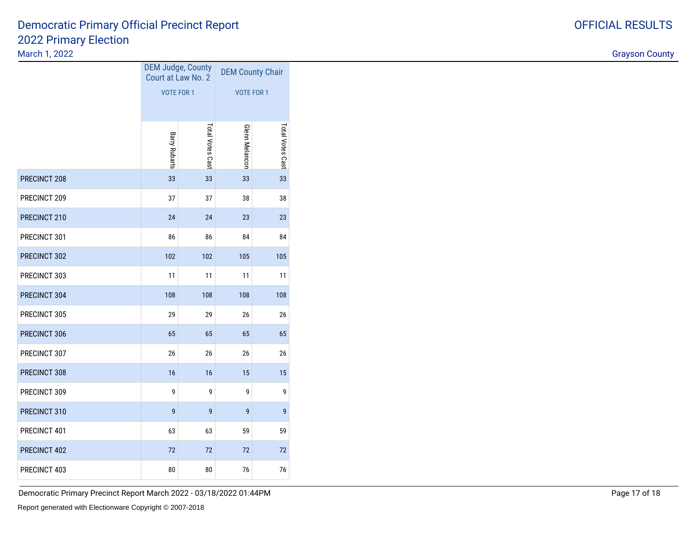#### March 1, 2022

|              | DEM Judge, County    | Court at Law No. 2 | <b>DEM County Chair</b> |                  |  |  |
|--------------|----------------------|--------------------|-------------------------|------------------|--|--|
|              | <b>VOTE FOR 1</b>    |                    | <b>VOTE FOR 1</b>       |                  |  |  |
|              |                      |                    |                         |                  |  |  |
|              | <b>Barry Rubarts</b> | Total Votes Cast   | <b>Glenn Melancon</b>   | Total Votes Cast |  |  |
| PRECINCT 208 | 33                   | 33                 | 33                      | 33               |  |  |
| PRECINCT 209 | 37                   | 37                 | 38                      | 38               |  |  |
| PRECINCT 210 | 24                   | 24                 | 23                      | 23               |  |  |
| PRECINCT 301 | 86                   | 86                 | 84                      | 84               |  |  |
| PRECINCT 302 | 102                  | 102                | 105                     | 105              |  |  |
| PRECINCT 303 | 11                   | 11                 | 11                      | 11               |  |  |
| PRECINCT 304 | 108                  | 108                | 108                     | 108              |  |  |
| PRECINCT 305 | 29                   | 29                 | 26                      | 26               |  |  |
| PRECINCT 306 | 65                   | 65                 | 65                      | 65               |  |  |
| PRECINCT 307 | 26                   | 26                 | 26                      | 26               |  |  |
| PRECINCT 308 | 16                   | 16                 | 15                      | 15               |  |  |
| PRECINCT 309 | 9                    | 9                  | 9                       | 9                |  |  |
| PRECINCT 310 | 9                    | 9                  | 9                       | $\mathbf{9}$     |  |  |
| PRECINCT 401 | 63                   | 63                 | 59                      | 59               |  |  |
| PRECINCT 402 | 72                   | 72                 | 72                      | 72               |  |  |
| PRECINCT 403 | 80                   | 80                 | 76                      | 76               |  |  |